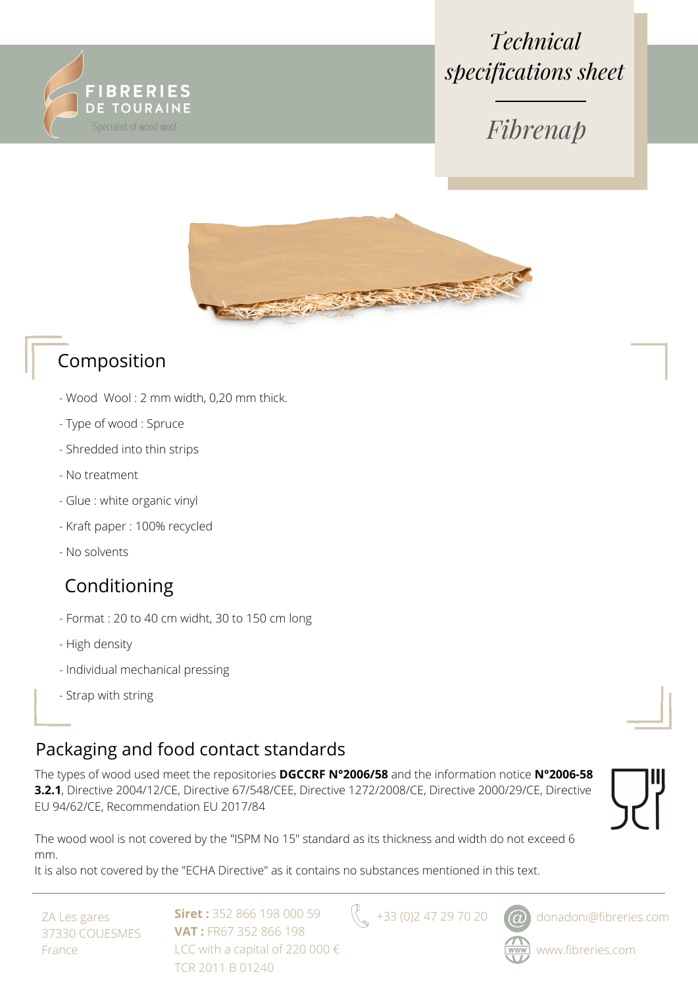

# *Technical specifications sheet*



### Composition

- Wood Wool : 2 mm width, 0,20 mm thick.
- Type of wood : Spruce
- Shredded into thin strips
- No treatment
- Glue : white organic vinyl
- Kraft paper : 100% recycled
- No solvents

#### Conditioning

- Format : 20 to 40 cm widht, 30 to 150 cm long
- High density
- Individual mechanical pressing
- Strap with string

#### Packaging and food contact standards

The types of wood used meet the repositories **DGCCRF N°2006/58** and the information notice **N°2006-58 3.2.1**, Directive 2004/12/CE, Directive 67/548/CEE, Directive 1272/2008/CE, Directive 2000/29/CE, Directive EU 94/62/CE, Recommendation EU 2017/84



The wood wool is not covered by the "ISPM No 15" standard as its thickness and width do not exceed 6 mm.

It is also not covered by the "ECHA Directive" as it contains no substances mentioned in this text.

ZA Les gares 37330 COUESMES France

**Siret :** 352 866 198 000 59 **VAT :** FR67 352 866 198 LCC with a capital of 220 000 € TCR 2011 B 01240

 $\left\{\right\}_{\infty}$  +33 (0)2 47 29 70 20  $\omega$  donadoni@fibreries.com



www.fibreries.com